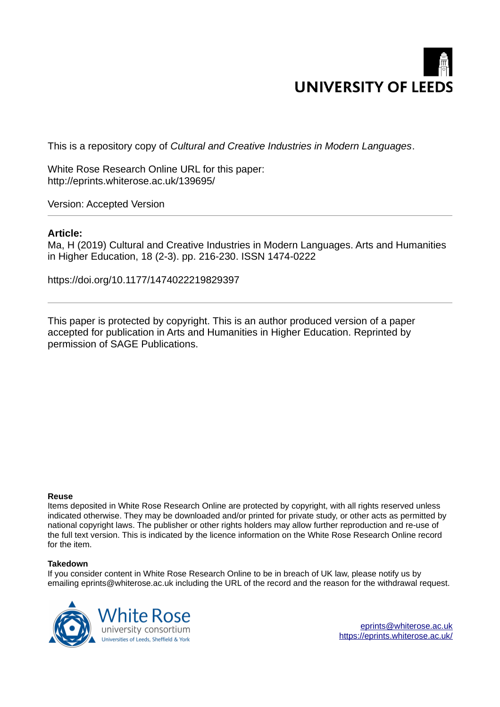

This is a repository copy of *Cultural and Creative Industries in Modern Languages*.

White Rose Research Online URL for this paper: http://eprints.whiterose.ac.uk/139695/

Version: Accepted Version

#### **Article:**

Ma, H (2019) Cultural and Creative Industries in Modern Languages. Arts and Humanities in Higher Education, 18 (2-3). pp. 216-230. ISSN 1474-0222

https://doi.org/10.1177/1474022219829397

This paper is protected by copyright. This is an author produced version of a paper accepted for publication in Arts and Humanities in Higher Education. Reprinted by permission of SAGE Publications.

#### **Reuse**

Items deposited in White Rose Research Online are protected by copyright, with all rights reserved unless indicated otherwise. They may be downloaded and/or printed for private study, or other acts as permitted by national copyright laws. The publisher or other rights holders may allow further reproduction and re-use of the full text version. This is indicated by the licence information on the White Rose Research Online record for the item.

#### **Takedown**

If you consider content in White Rose Research Online to be in breach of UK law, please notify us by emailing eprints@whiterose.ac.uk including the URL of the record and the reason for the withdrawal request.



[eprints@whiterose.ac.uk](mailto:eprints@whiterose.ac.uk) <https://eprints.whiterose.ac.uk/>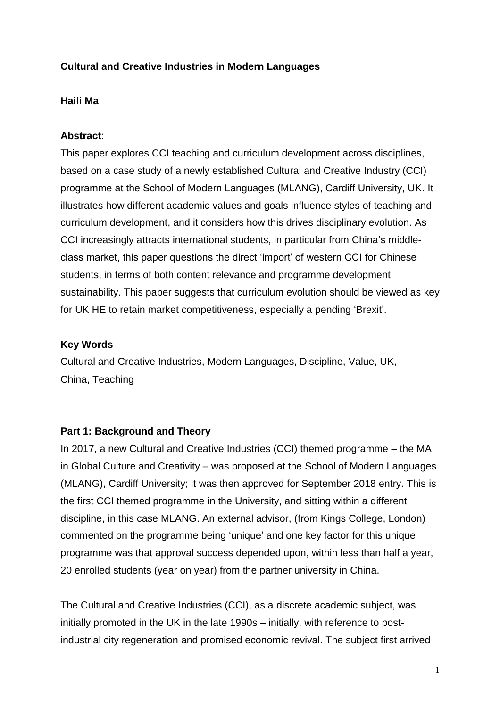## **Cultural and Creative Industries in Modern Languages**

### **Haili Ma**

#### **Abstract**:

This paper explores CCI teaching and curriculum development across disciplines, based on a case study of a newly established Cultural and Creative Industry (CCI) programme at the School of Modern Languages (MLANG), Cardiff University, UK. It illustrates how different academic values and goals influence styles of teaching and curriculum development, and it considers how this drives disciplinary evolution. As CCI increasingly attracts international students, in particular from China's middleclass market, this paper questions the direct 'import' of western CCI for Chinese students, in terms of both content relevance and programme development sustainability. This paper suggests that curriculum evolution should be viewed as key for UK HE to retain market competitiveness, especially a pending 'Brexit'.

#### **Key Words**

Cultural and Creative Industries, Modern Languages, Discipline, Value, UK, China, Teaching

#### **Part 1: Background and Theory**

In 2017, a new Cultural and Creative Industries (CCI) themed programme – the MA in Global Culture and Creativity – was proposed at the School of Modern Languages (MLANG), Cardiff University; it was then approved for September 2018 entry. This is the first CCI themed programme in the University, and sitting within a different discipline, in this case MLANG. An external advisor, (from Kings College, London) commented on the programme being 'unique' and one key factor for this unique programme was that approval success depended upon, within less than half a year, 20 enrolled students (year on year) from the partner university in China.

The Cultural and Creative Industries (CCI), as a discrete academic subject, was initially promoted in the UK in the late 1990s – initially, with reference to postindustrial city regeneration and promised economic revival. The subject first arrived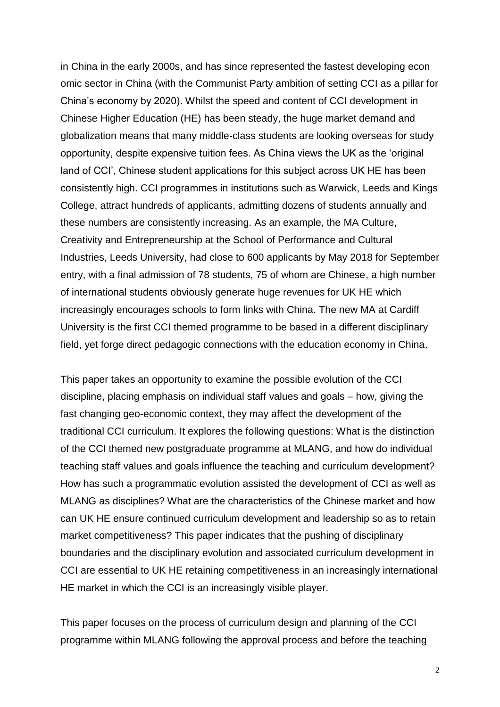in China in the early 2000s, and has since represented the fastest developing econ omic sector in China (with the Communist Party ambition of setting CCI as a pillar for China's economy by 2020). Whilst the speed and content of CCI development in Chinese Higher Education (HE) has been steady, the huge market demand and globalization means that many middle-class students are looking overseas for study opportunity, despite expensive tuition fees. As China views the UK as the 'original land of CCI', Chinese student applications for this subject across UK HE has been consistently high. CCI programmes in institutions such as Warwick, Leeds and Kings College, attract hundreds of applicants, admitting dozens of students annually and these numbers are consistently increasing. As an example, the MA Culture, Creativity and Entrepreneurship at the School of Performance and Cultural Industries, Leeds University, had close to 600 applicants by May 2018 for September entry, with a final admission of 78 students, 75 of whom are Chinese, a high number of international students obviously generate huge revenues for UK HE which increasingly encourages schools to form links with China. The new MA at Cardiff University is the first CCI themed programme to be based in a different disciplinary field, yet forge direct pedagogic connections with the education economy in China.

This paper takes an opportunity to examine the possible evolution of the CCI discipline, placing emphasis on individual staff values and goals – how, giving the fast changing geo-economic context, they may affect the development of the traditional CCI curriculum. It explores the following questions: What is the distinction of the CCI themed new postgraduate programme at MLANG, and how do individual teaching staff values and goals influence the teaching and curriculum development? How has such a programmatic evolution assisted the development of CCI as well as MLANG as disciplines? What are the characteristics of the Chinese market and how can UK HE ensure continued curriculum development and leadership so as to retain market competitiveness? This paper indicates that the pushing of disciplinary boundaries and the disciplinary evolution and associated curriculum development in CCI are essential to UK HE retaining competitiveness in an increasingly international HE market in which the CCI is an increasingly visible player.

This paper focuses on the process of curriculum design and planning of the CCI programme within MLANG following the approval process and before the teaching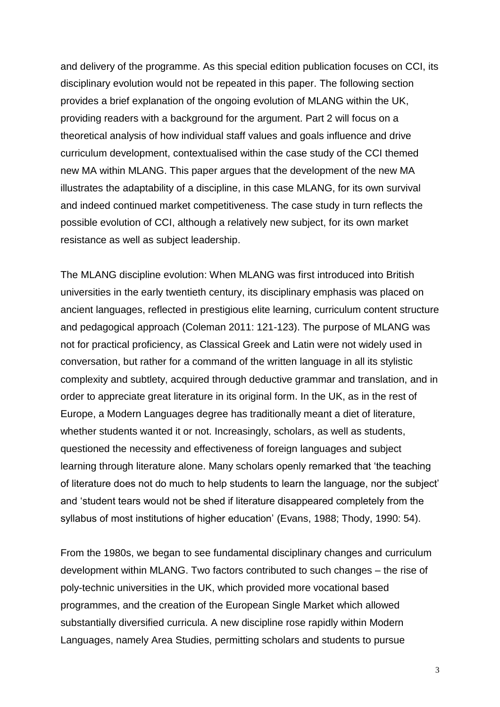and delivery of the programme. As this special edition publication focuses on CCI, its disciplinary evolution would not be repeated in this paper. The following section provides a brief explanation of the ongoing evolution of MLANG within the UK, providing readers with a background for the argument. Part 2 will focus on a theoretical analysis of how individual staff values and goals influence and drive curriculum development, contextualised within the case study of the CCI themed new MA within MLANG. This paper argues that the development of the new MA illustrates the adaptability of a discipline, in this case MLANG, for its own survival and indeed continued market competitiveness. The case study in turn reflects the possible evolution of CCI, although a relatively new subject, for its own market resistance as well as subject leadership.

The MLANG discipline evolution: When MLANG was first introduced into British universities in the early twentieth century, its disciplinary emphasis was placed on ancient languages, reflected in prestigious elite learning, curriculum content structure and pedagogical approach (Coleman 2011: 121-123). The purpose of MLANG was not for practical proficiency, as Classical Greek and Latin were not widely used in conversation, but rather for a command of the written language in all its stylistic complexity and subtlety, acquired through deductive grammar and translation, and in order to appreciate great literature in its original form. In the UK, as in the rest of Europe, a Modern Languages degree has traditionally meant a diet of literature, whether students wanted it or not. Increasingly, scholars, as well as students, questioned the necessity and effectiveness of foreign languages and subject learning through literature alone. Many scholars openly remarked that 'the teaching of literature does not do much to help students to learn the language, nor the subject' and 'student tears would not be shed if literature disappeared completely from the syllabus of most institutions of higher education' (Evans, 1988; Thody, 1990: 54).

From the 1980s, we began to see fundamental disciplinary changes and curriculum development within MLANG. Two factors contributed to such changes – the rise of poly-technic universities in the UK, which provided more vocational based programmes, and the creation of the European Single Market which allowed substantially diversified curricula. A new discipline rose rapidly within Modern Languages, namely Area Studies, permitting scholars and students to pursue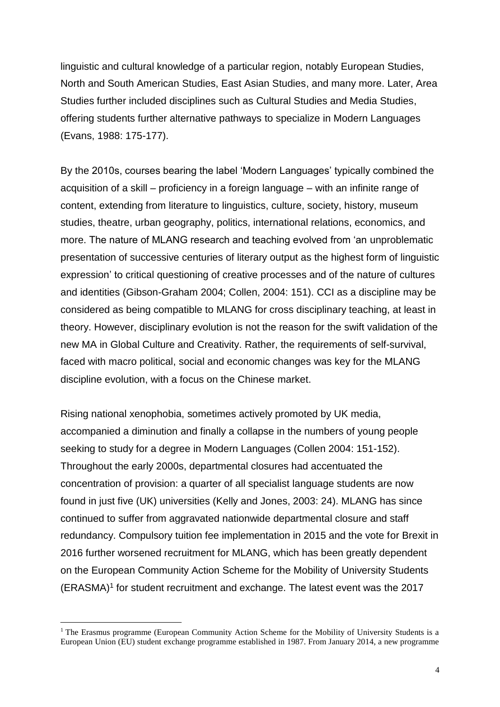linguistic and cultural knowledge of a particular region, notably European Studies, North and South American Studies, East Asian Studies, and many more. Later, Area Studies further included disciplines such as Cultural Studies and Media Studies, offering students further alternative pathways to specialize in Modern Languages (Evans, 1988: 175-177).

By the 2010s, courses bearing the label 'Modern Languages' typically combined the acquisition of a skill – proficiency in a foreign language – with an infinite range of content, extending from literature to linguistics, culture, society, history, museum studies, theatre, urban geography, politics, international relations, economics, and more. The nature of MLANG research and teaching evolved from 'an unproblematic presentation of successive centuries of literary output as the highest form of linguistic expression' to critical questioning of creative processes and of the nature of cultures and identities (Gibson-Graham 2004; Collen, 2004: 151). CCI as a discipline may be considered as being compatible to MLANG for cross disciplinary teaching, at least in theory. However, disciplinary evolution is not the reason for the swift validation of the new MA in Global Culture and Creativity. Rather, the requirements of self-survival, faced with macro political, social and economic changes was key for the MLANG discipline evolution, with a focus on the Chinese market.

Rising national xenophobia, sometimes actively promoted by UK media, accompanied a diminution and finally a collapse in the numbers of young people seeking to study for a degree in Modern Languages (Collen 2004: 151-152). Throughout the early 2000s, departmental closures had accentuated the concentration of provision: a quarter of all specialist language students are now found in just five (UK) universities (Kelly and Jones, 2003: 24). MLANG has since continued to suffer from aggravated nationwide departmental closure and staff redundancy. Compulsory tuition fee implementation in 2015 and the vote for Brexit in 2016 further worsened recruitment for MLANG, which has been greatly dependent on the European Community Action Scheme for the Mobility of University Students (ERASMA)<sup>1</sup> for student recruitment and exchange. The latest event was the 2017

ׇ֬֒

<sup>&</sup>lt;sup>1</sup> The Erasmus programme (European Community Action Scheme for the Mobility of University Students is a European Union (EU) student exchange programme established in 1987. From January 2014, a new programme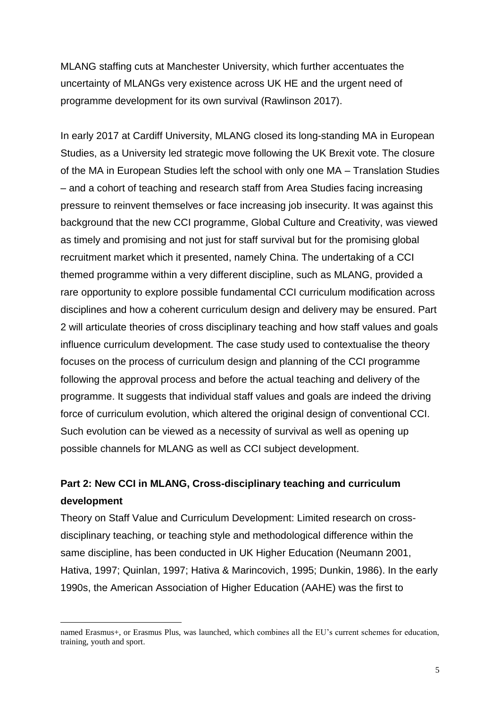MLANG staffing cuts at Manchester University, which further accentuates the uncertainty of MLANGs very existence across UK HE and the urgent need of programme development for its own survival (Rawlinson 2017).

In early 2017 at Cardiff University, MLANG closed its long-standing MA in European Studies, as a University led strategic move following the UK Brexit vote. The closure of the MA in European Studies left the school with only one MA – Translation Studies – and a cohort of teaching and research staff from Area Studies facing increasing pressure to reinvent themselves or face increasing job insecurity. It was against this background that the new CCI programme, Global Culture and Creativity, was viewed as timely and promising and not just for staff survival but for the promising global recruitment market which it presented, namely China. The undertaking of a CCI themed programme within a very different discipline, such as MLANG, provided a rare opportunity to explore possible fundamental CCI curriculum modification across disciplines and how a coherent curriculum design and delivery may be ensured. Part 2 will articulate theories of cross disciplinary teaching and how staff values and goals influence curriculum development. The case study used to contextualise the theory focuses on the process of curriculum design and planning of the CCI programme following the approval process and before the actual teaching and delivery of the programme. It suggests that individual staff values and goals are indeed the driving force of curriculum evolution, which altered the original design of conventional CCI. Such evolution can be viewed as a necessity of survival as well as opening up possible channels for MLANG as well as CCI subject development.

# **Part 2: New CCI in MLANG, Cross-disciplinary teaching and curriculum development**

Theory on Staff Value and Curriculum Development: Limited research on crossdisciplinary teaching, or teaching style and methodological difference within the same discipline, has been conducted in UK Higher Education (Neumann 2001, Hativa, 1997; Quinlan, 1997; Hativa & Marincovich, 1995; Dunkin, 1986). In the early 1990s, the American Association of Higher Education (AAHE) was the first to

ׇ֬֒

named Erasmus+, or Erasmus Plus, was launched, which combines all the EU's current schemes for education, training, youth and sport.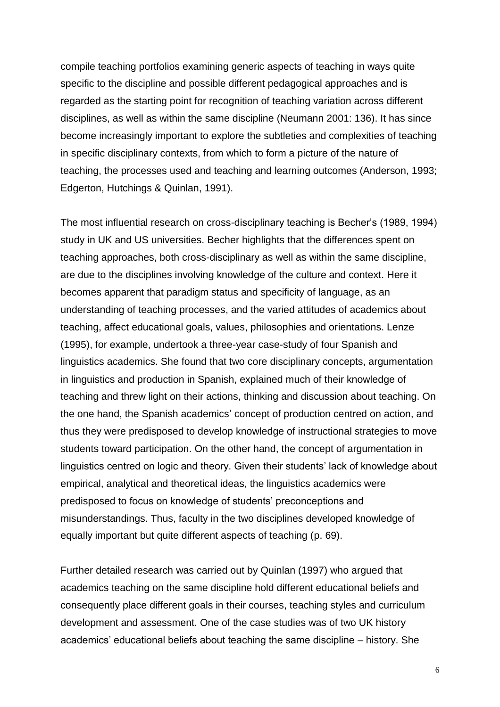compile teaching portfolios examining generic aspects of teaching in ways quite specific to the discipline and possible different pedagogical approaches and is regarded as the starting point for recognition of teaching variation across different disciplines, as well as within the same discipline (Neumann 2001: 136). It has since become increasingly important to explore the subtleties and complexities of teaching in specific disciplinary contexts, from which to form a picture of the nature of teaching, the processes used and teaching and learning outcomes (Anderson, 1993; Edgerton, Hutchings & Quinlan, 1991).

The most influential research on cross-disciplinary teaching is Becher's (1989, 1994) study in UK and US universities. Becher highlights that the differences spent on teaching approaches, both cross-disciplinary as well as within the same discipline, are due to the disciplines involving knowledge of the culture and context. Here it becomes apparent that paradigm status and specificity of language, as an understanding of teaching processes, and the varied attitudes of academics about teaching, affect educational goals, values, philosophies and orientations. Lenze (1995), for example, undertook a three-year case-study of four Spanish and linguistics academics. She found that two core disciplinary concepts, argumentation in linguistics and production in Spanish, explained much of their knowledge of teaching and threw light on their actions, thinking and discussion about teaching. On the one hand, the Spanish academics' concept of production centred on action, and thus they were predisposed to develop knowledge of instructional strategies to move students toward participation. On the other hand, the concept of argumentation in linguistics centred on logic and theory. Given their students' lack of knowledge about empirical, analytical and theoretical ideas, the linguistics academics were predisposed to focus on knowledge of students' preconceptions and misunderstandings. Thus, faculty in the two disciplines developed knowledge of equally important but quite different aspects of teaching (p. 69).

Further detailed research was carried out by Quinlan (1997) who argued that academics teaching on the same discipline hold different educational beliefs and consequently place different goals in their courses, teaching styles and curriculum development and assessment. One of the case studies was of two UK history academics' educational beliefs about teaching the same discipline – history. She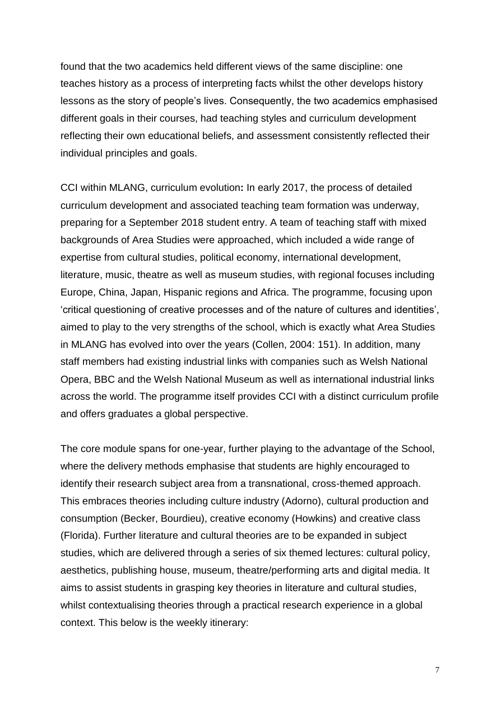found that the two academics held different views of the same discipline: one teaches history as a process of interpreting facts whilst the other develops history lessons as the story of people's lives. Consequently, the two academics emphasised different goals in their courses, had teaching styles and curriculum development reflecting their own educational beliefs, and assessment consistently reflected their individual principles and goals.

CCI within MLANG, curriculum evolution**:** In early 2017, the process of detailed curriculum development and associated teaching team formation was underway, preparing for a September 2018 student entry. A team of teaching staff with mixed backgrounds of Area Studies were approached, which included a wide range of expertise from cultural studies, political economy, international development, literature, music, theatre as well as museum studies, with regional focuses including Europe, China, Japan, Hispanic regions and Africa. The programme, focusing upon 'critical questioning of creative processes and of the nature of cultures and identities', aimed to play to the very strengths of the school, which is exactly what Area Studies in MLANG has evolved into over the years (Collen, 2004: 151). In addition, many staff members had existing industrial links with companies such as Welsh National Opera, BBC and the Welsh National Museum as well as international industrial links across the world. The programme itself provides CCI with a distinct curriculum profile and offers graduates a global perspective.

The core module spans for one-year, further playing to the advantage of the School, where the delivery methods emphasise that students are highly encouraged to identify their research subject area from a transnational, cross-themed approach. This embraces theories including culture industry (Adorno), cultural production and consumption (Becker, Bourdieu), creative economy (Howkins) and creative class (Florida). Further literature and cultural theories are to be expanded in subject studies, which are delivered through a series of six themed lectures: cultural policy, aesthetics, publishing house, museum, theatre/performing arts and digital media. It aims to assist students in grasping key theories in literature and cultural studies, whilst contextualising theories through a practical research experience in a global context. This below is the weekly itinerary: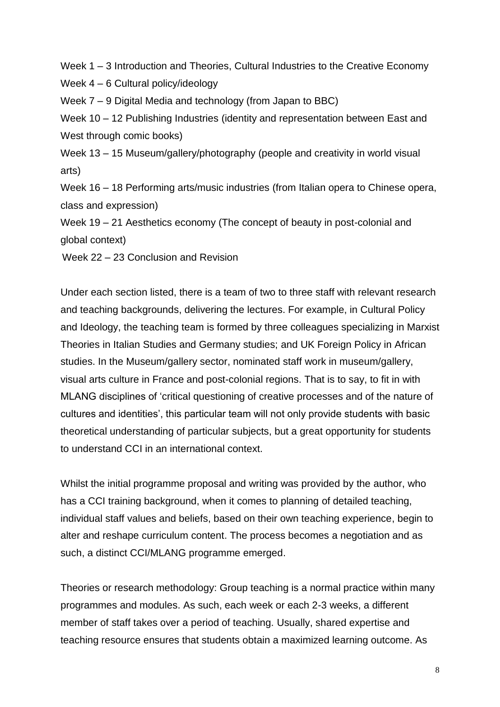Week 1 *–* 3 Introduction and Theories, Cultural Industries to the Creative Economy

Week 4 *–* 6 Cultural policy/ideology

Week 7 *–* 9 Digital Media and technology (from Japan to BBC)

Week 10 – 12 Publishing Industries (identity and representation between East and West through comic books)

Week 13 *–* 15 Museum/gallery/photography (people and creativity in world visual arts)

Week 16 *–* 18 Performing arts/music industries (from Italian opera to Chinese opera, class and expression)

Week 19 *–* 21 Aesthetics economy (The concept of beauty in post-colonial and global context)

Week 22 *–* 23 Conclusion and Revision

Under each section listed, there is a team of two to three staff with relevant research and teaching backgrounds, delivering the lectures. For example, in Cultural Policy and Ideology, the teaching team is formed by three colleagues specializing in Marxist Theories in Italian Studies and Germany studies; and UK Foreign Policy in African studies. In the Museum/gallery sector, nominated staff work in museum/gallery, visual arts culture in France and post-colonial regions. That is to say, to fit in with MLANG disciplines of 'critical questioning of creative processes and of the nature of cultures and identities', this particular team will not only provide students with basic theoretical understanding of particular subjects, but a great opportunity for students to understand CCI in an international context.

Whilst the initial programme proposal and writing was provided by the author, who has a CCI training background, when it comes to planning of detailed teaching, individual staff values and beliefs, based on their own teaching experience, begin to alter and reshape curriculum content. The process becomes a negotiation and as such, a distinct CCI/MLANG programme emerged.

Theories or research methodology: Group teaching is a normal practice within many programmes and modules. As such, each week or each 2-3 weeks, a different member of staff takes over a period of teaching. Usually, shared expertise and teaching resource ensures that students obtain a maximized learning outcome. As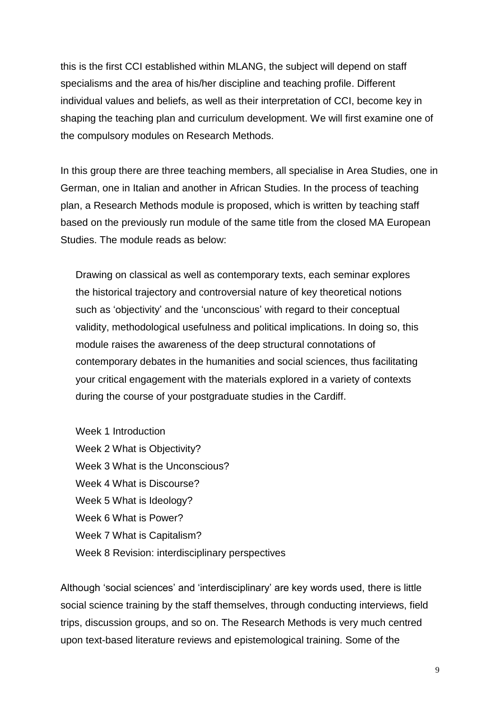this is the first CCI established within MLANG, the subject will depend on staff specialisms and the area of his/her discipline and teaching profile. Different individual values and beliefs, as well as their interpretation of CCI, become key in shaping the teaching plan and curriculum development. We will first examine one of the compulsory modules on Research Methods.

In this group there are three teaching members, all specialise in Area Studies, one in German, one in Italian and another in African Studies. In the process of teaching plan, a Research Methods module is proposed, which is written by teaching staff based on the previously run module of the same title from the closed MA European Studies. The module reads as below:

Drawing on classical as well as contemporary texts, each seminar explores the historical trajectory and controversial nature of key theoretical notions such as 'objectivity' and the 'unconscious' with regard to their conceptual validity, methodological usefulness and political implications. In doing so, this module raises the awareness of the deep structural connotations of contemporary debates in the humanities and social sciences, thus facilitating your critical engagement with the materials explored in a variety of contexts during the course of your postgraduate studies in the Cardiff.

Week 1 Introduction Week 2 What is Objectivity? Week 3 What is the Unconscious? Week 4 What is Discourse? Week 5 What is Ideology? Week 6 What is Power? Week 7 What is Capitalism? Week 8 Revision: interdisciplinary perspectives

Although 'social sciences' and 'interdisciplinary' are key words used, there is little social science training by the staff themselves, through conducting interviews, field trips, discussion groups, and so on. The Research Methods is very much centred upon text-based literature reviews and epistemological training. Some of the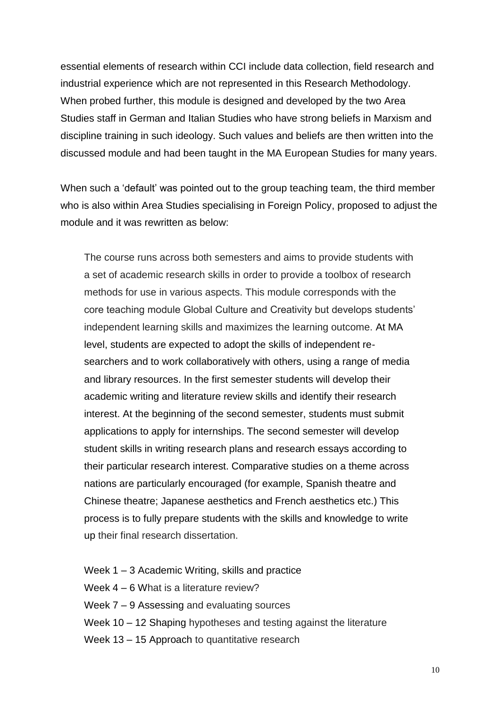essential elements of research within CCI include data collection, field research and industrial experience which are not represented in this Research Methodology. When probed further, this module is designed and developed by the two Area Studies staff in German and Italian Studies who have strong beliefs in Marxism and discipline training in such ideology. Such values and beliefs are then written into the discussed module and had been taught in the MA European Studies for many years.

When such a 'default' was pointed out to the group teaching team, the third member who is also within Area Studies specialising in Foreign Policy, proposed to adjust the module and it was rewritten as below:

The course runs across both semesters and aims to provide students with a set of academic research skills in order to provide a toolbox of research methods for use in various aspects. This module corresponds with the core teaching module Global Culture and Creativity but develops students' independent learning skills and maximizes the learning outcome. At MA level, students are expected to adopt the skills of independent researchers and to work collaboratively with others, using a range of media and library resources. In the first semester students will develop their academic writing and literature review skills and identify their research interest. At the beginning of the second semester, students must submit applications to apply for internships. The second semester will develop student skills in writing research plans and research essays according to their particular research interest. Comparative studies on a theme across nations are particularly encouraged (for example, Spanish theatre and Chinese theatre; Japanese aesthetics and French aesthetics etc.) This process is to fully prepare students with the skills and knowledge to write up their final research dissertation.

- Week 1 *–* 3 Academic Writing, skills and practice
- Week 4 *–* 6 What is a literature review?
- Week 7 *–* 9 Assessing and evaluating sources
- Week 10 12 Shaping hypotheses and testing against the literature
- Week 13 *–* 15 Approach to quantitative research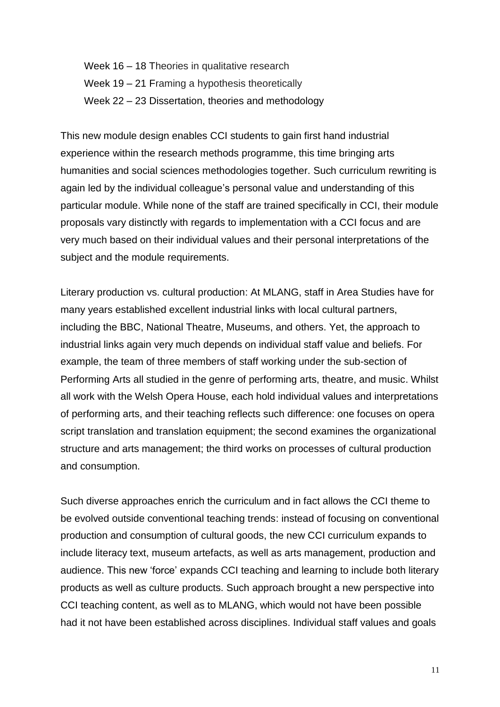Week 16 *–* 18 Theories in qualitative research Week 19 – 21 Framing a hypothesis theoretically Week 22 *–* 23 Dissertation, theories and methodology

This new module design enables CCI students to gain first hand industrial experience within the research methods programme, this time bringing arts humanities and social sciences methodologies together. Such curriculum rewriting is again led by the individual colleague's personal value and understanding of this particular module. While none of the staff are trained specifically in CCI, their module proposals vary distinctly with regards to implementation with a CCI focus and are very much based on their individual values and their personal interpretations of the subject and the module requirements.

Literary production vs. cultural production: At MLANG, staff in Area Studies have for many years established excellent industrial links with local cultural partners, including the BBC, National Theatre, Museums, and others. Yet, the approach to industrial links again very much depends on individual staff value and beliefs. For example, the team of three members of staff working under the sub-section of Performing Arts all studied in the genre of performing arts, theatre, and music. Whilst all work with the Welsh Opera House, each hold individual values and interpretations of performing arts, and their teaching reflects such difference: one focuses on opera script translation and translation equipment; the second examines the organizational structure and arts management; the third works on processes of cultural production and consumption.

Such diverse approaches enrich the curriculum and in fact allows the CCI theme to be evolved outside conventional teaching trends: instead of focusing on conventional production and consumption of cultural goods, the new CCI curriculum expands to include literacy text, museum artefacts, as well as arts management, production and audience. This new 'force' expands CCI teaching and learning to include both literary products as well as culture products. Such approach brought a new perspective into CCI teaching content, as well as to MLANG, which would not have been possible had it not have been established across disciplines. Individual staff values and goals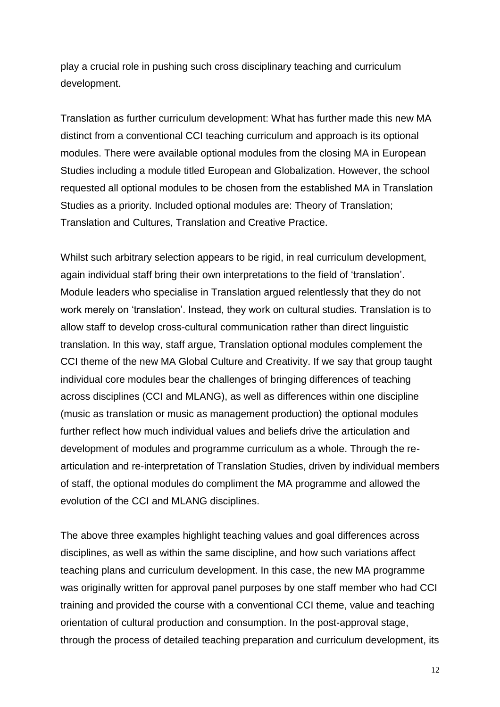play a crucial role in pushing such cross disciplinary teaching and curriculum development.

Translation as further curriculum development: What has further made this new MA distinct from a conventional CCI teaching curriculum and approach is its optional modules. There were available optional modules from the closing MA in European Studies including a module titled European and Globalization. However, the school requested all optional modules to be chosen from the established MA in Translation Studies as a priority. Included optional modules are: Theory of Translation; Translation and Cultures, Translation and Creative Practice.

Whilst such arbitrary selection appears to be rigid, in real curriculum development, again individual staff bring their own interpretations to the field of 'translation'. Module leaders who specialise in Translation argued relentlessly that they do not work merely on 'translation'. Instead, they work on cultural studies. Translation is to allow staff to develop cross-cultural communication rather than direct linguistic translation. In this way, staff argue, Translation optional modules complement the CCI theme of the new MA Global Culture and Creativity. If we say that group taught individual core modules bear the challenges of bringing differences of teaching across disciplines (CCI and MLANG), as well as differences within one discipline (music as translation or music as management production) the optional modules further reflect how much individual values and beliefs drive the articulation and development of modules and programme curriculum as a whole. Through the rearticulation and re-interpretation of Translation Studies, driven by individual members of staff, the optional modules do compliment the MA programme and allowed the evolution of the CCI and MLANG disciplines.

The above three examples highlight teaching values and goal differences across disciplines, as well as within the same discipline, and how such variations affect teaching plans and curriculum development. In this case, the new MA programme was originally written for approval panel purposes by one staff member who had CCI training and provided the course with a conventional CCI theme, value and teaching orientation of cultural production and consumption. In the post-approval stage, through the process of detailed teaching preparation and curriculum development, its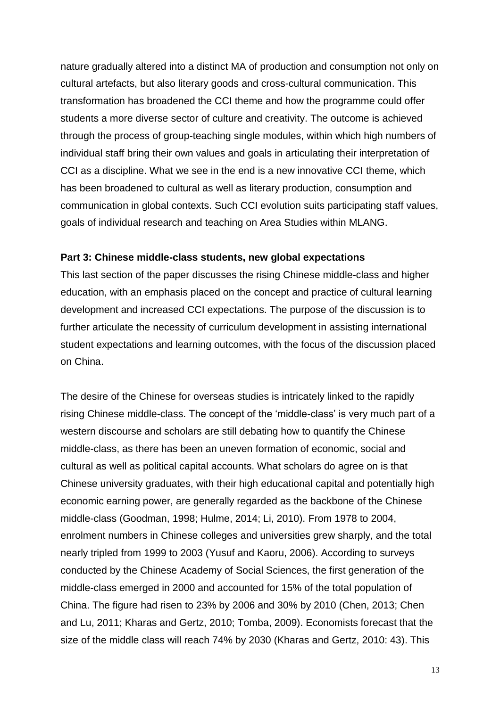nature gradually altered into a distinct MA of production and consumption not only on cultural artefacts, but also literary goods and cross-cultural communication. This transformation has broadened the CCI theme and how the programme could offer students a more diverse sector of culture and creativity. The outcome is achieved through the process of group-teaching single modules, within which high numbers of individual staff bring their own values and goals in articulating their interpretation of CCI as a discipline. What we see in the end is a new innovative CCI theme, which has been broadened to cultural as well as literary production, consumption and communication in global contexts. Such CCI evolution suits participating staff values, goals of individual research and teaching on Area Studies within MLANG.

#### **Part 3: Chinese middle-class students, new global expectations**

This last section of the paper discusses the rising Chinese middle-class and higher education, with an emphasis placed on the concept and practice of cultural learning development and increased CCI expectations. The purpose of the discussion is to further articulate the necessity of curriculum development in assisting international student expectations and learning outcomes, with the focus of the discussion placed on China.

The desire of the Chinese for overseas studies is intricately linked to the rapidly rising Chinese middle-class. The concept of the 'middle-class' is very much part of a western discourse and scholars are still debating how to quantify the Chinese middle-class, as there has been an uneven formation of economic, social and cultural as well as political capital accounts. What scholars do agree on is that Chinese university graduates, with their high educational capital and potentially high economic earning power, are generally regarded as the backbone of the Chinese middle-class (Goodman, 1998; Hulme, 2014; Li, 2010). From 1978 to 2004, enrolment numbers in Chinese colleges and universities grew sharply, and the total nearly tripled from 1999 to 2003 (Yusuf and Kaoru, 2006). According to surveys conducted by the Chinese Academy of Social Sciences, the first generation of the middle-class emerged in 2000 and accounted for 15% of the total population of China. The figure had risen to 23% by 2006 and 30% by 2010 (Chen, 2013; Chen and Lu, 2011; Kharas and Gertz, 2010; Tomba, 2009). Economists forecast that the size of the middle class will reach 74% by 2030 (Kharas and Gertz, 2010: 43). This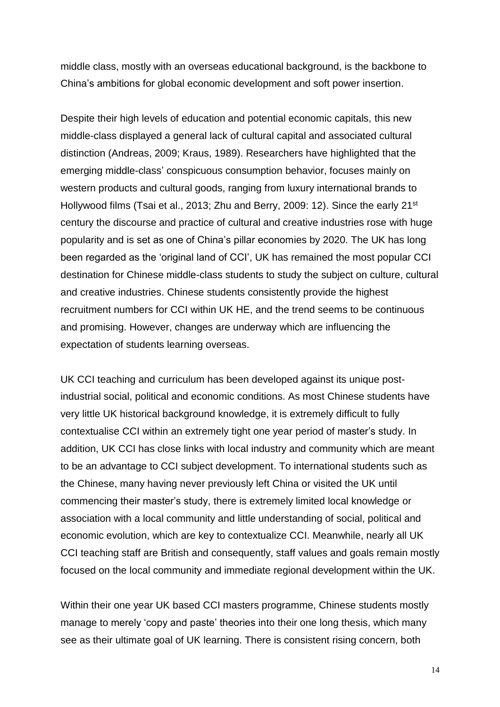middle class, mostly with an overseas educational background, is the backbone to China's ambitions for global economic development and soft power insertion.

Despite their high levels of education and potential economic capitals, this new middle-class displayed a general lack of cultural capital and associated cultural distinction (Andreas, 2009; Kraus, 1989). Researchers have highlighted that the emerging middle-class' conspicuous consumption behavior, focuses mainly on western products and cultural goods, ranging from luxury international brands to Hollywood films (Tsai et al., 2013; Zhu and Berry, 2009: 12). Since the early 21<sup>st</sup> century the discourse and practice of cultural and creative industries rose with huge popularity and is set as one of China's pillar economies by 2020. The UK has long been regarded as the 'original land of CCI', UK has remained the most popular CCI destination for Chinese middle-class students to study the subject on culture, cultural and creative industries. Chinese students consistently provide the highest recruitment numbers for CCI within UK HE, and the trend seems to be continuous and promising. However, changes are underway which are influencing the expectation of students learning overseas.

UK CCI teaching and curriculum has been developed against its unique postindustrial social, political and economic conditions. As most Chinese students have very little UK historical background knowledge, it is extremely difficult to fully contextualise CCI within an extremely tight one year period of master's study. In addition, UK CCI has close links with local industry and community which are meant to be an advantage to CCI subject development. To international students such as the Chinese, many having never previously left China or visited the UK until commencing their master's study, there is extremely limited local knowledge or association with a local community and little understanding of social, political and economic evolution, which are key to contextualize CCI. Meanwhile, nearly all UK CCI teaching staff are British and consequently, staff values and goals remain mostly focused on the local community and immediate regional development within the UK.

Within their one year UK based CCI masters programme, Chinese students mostly manage to merely 'copy and paste' theories into their one long thesis, which many see as their ultimate goal of UK learning. There is consistent rising concern, both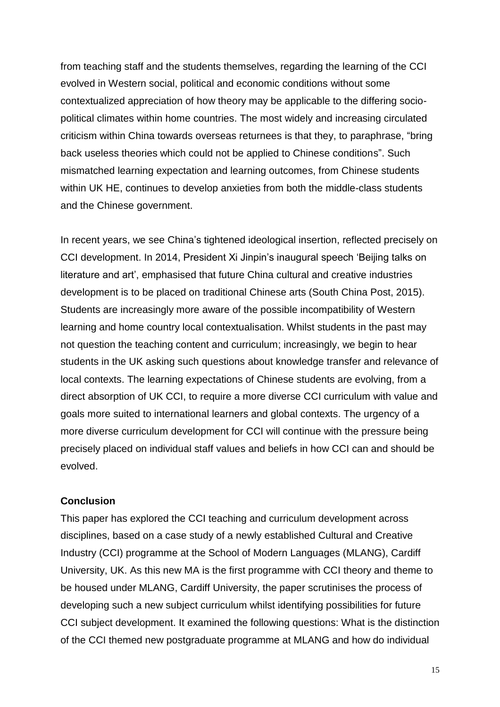from teaching staff and the students themselves, regarding the learning of the CCI evolved in Western social, political and economic conditions without some contextualized appreciation of how theory may be applicable to the differing sociopolitical climates within home countries. The most widely and increasing circulated criticism within China towards overseas returnees is that they, to paraphrase, "bring back useless theories which could not be applied to Chinese conditions". Such mismatched learning expectation and learning outcomes, from Chinese students within UK HE, continues to develop anxieties from both the middle-class students and the Chinese government.

In recent years, we see China's tightened ideological insertion, reflected precisely on CCI development. In 2014, President Xi Jinpin's inaugural speech 'Beijing talks on literature and art', emphasised that future China cultural and creative industries development is to be placed on traditional Chinese arts (South China Post, 2015). Students are increasingly more aware of the possible incompatibility of Western learning and home country local contextualisation. Whilst students in the past may not question the teaching content and curriculum; increasingly, we begin to hear students in the UK asking such questions about knowledge transfer and relevance of local contexts. The learning expectations of Chinese students are evolving, from a direct absorption of UK CCI, to require a more diverse CCI curriculum with value and goals more suited to international learners and global contexts. The urgency of a more diverse curriculum development for CCI will continue with the pressure being precisely placed on individual staff values and beliefs in how CCI can and should be evolved.

## **Conclusion**

This paper has explored the CCI teaching and curriculum development across disciplines, based on a case study of a newly established Cultural and Creative Industry (CCI) programme at the School of Modern Languages (MLANG), Cardiff University, UK. As this new MA is the first programme with CCI theory and theme to be housed under MLANG, Cardiff University, the paper scrutinises the process of developing such a new subject curriculum whilst identifying possibilities for future CCI subject development. It examined the following questions: What is the distinction of the CCI themed new postgraduate programme at MLANG and how do individual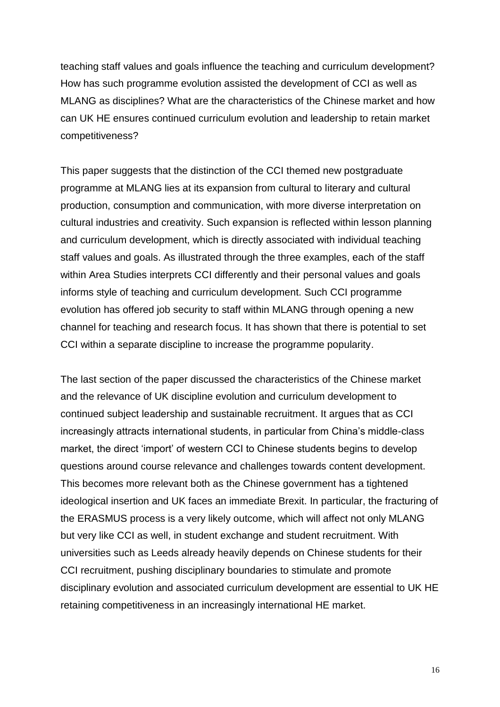teaching staff values and goals influence the teaching and curriculum development? How has such programme evolution assisted the development of CCI as well as MLANG as disciplines? What are the characteristics of the Chinese market and how can UK HE ensures continued curriculum evolution and leadership to retain market competitiveness?

This paper suggests that the distinction of the CCI themed new postgraduate programme at MLANG lies at its expansion from cultural to literary and cultural production, consumption and communication, with more diverse interpretation on cultural industries and creativity. Such expansion is reflected within lesson planning and curriculum development, which is directly associated with individual teaching staff values and goals. As illustrated through the three examples, each of the staff within Area Studies interprets CCI differently and their personal values and goals informs style of teaching and curriculum development. Such CCI programme evolution has offered job security to staff within MLANG through opening a new channel for teaching and research focus. It has shown that there is potential to set CCI within a separate discipline to increase the programme popularity.

The last section of the paper discussed the characteristics of the Chinese market and the relevance of UK discipline evolution and curriculum development to continued subject leadership and sustainable recruitment. It argues that as CCI increasingly attracts international students, in particular from China's middle-class market, the direct 'import' of western CCI to Chinese students begins to develop questions around course relevance and challenges towards content development. This becomes more relevant both as the Chinese government has a tightened ideological insertion and UK faces an immediate Brexit. In particular, the fracturing of the ERASMUS process is a very likely outcome, which will affect not only MLANG but very like CCI as well, in student exchange and student recruitment. With universities such as Leeds already heavily depends on Chinese students for their CCI recruitment, pushing disciplinary boundaries to stimulate and promote disciplinary evolution and associated curriculum development are essential to UK HE retaining competitiveness in an increasingly international HE market.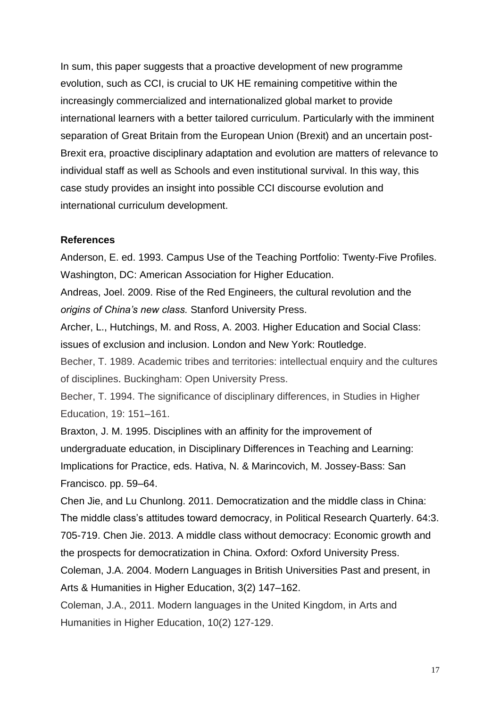In sum, this paper suggests that a proactive development of new programme evolution, such as CCI, is crucial to UK HE remaining competitive within the increasingly commercialized and internationalized global market to provide international learners with a better tailored curriculum. Particularly with the imminent separation of Great Britain from the European Union (Brexit) and an uncertain post-Brexit era, proactive disciplinary adaptation and evolution are matters of relevance to individual staff as well as Schools and even institutional survival. In this way, this case study provides an insight into possible CCI discourse evolution and international curriculum development.

### **References**

Anderson, E. ed. 1993. Campus Use of the Teaching Portfolio: Twenty-Five Profiles. Washington, DC: American Association for Higher Education.

Andreas, Joel. 2009. Rise of the Red Engineers, the cultural revolution and the *origins of China's new class.* Stanford University Press.

Archer, L., Hutchings, M. and Ross, A. 2003. Higher Education and Social Class: issues of exclusion and inclusion. London and New York: Routledge.

Becher, T. 1989. Academic tribes and territories: intellectual enquiry and the cultures of disciplines. Buckingham: Open University Press.

Becher, T. 1994. The significance of disciplinary differences, in Studies in Higher Education, 19: 151–161.

Braxton, J. M. 1995. Disciplines with an affinity for the improvement of undergraduate education, in Disciplinary Differences in Teaching and Learning: Implications for Practice, eds. Hativa, N. & Marincovich, M. Jossey-Bass: San Francisco. pp. 59–64.

Chen Jie, and Lu Chunlong. 2011. Democratization and the middle class in China: The middle class's attitudes toward democracy, in Political Research Quarterly. 64:3. 705-719. Chen Jie. 2013. A middle class without democracy: Economic growth and the prospects for democratization in China. Oxford: Oxford University Press.

Coleman, J.A. 2004. Modern Languages in British Universities Past and present, in Arts & Humanities in Higher Education, 3(2) 147–162.

Coleman, J.A., 2011. Modern languages in the United Kingdom, in Arts and Humanities in Higher Education, 10(2) 127-129.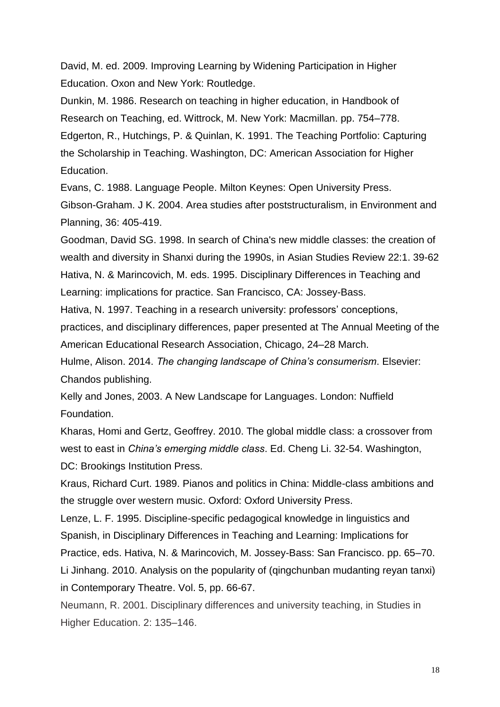David, M. ed. 2009. Improving Learning by Widening Participation in Higher Education. Oxon and New York: Routledge.

Dunkin, M. 1986. Research on teaching in higher education, in Handbook of Research on Teaching, ed. Wittrock, M. New York: Macmillan. pp. 754–778. Edgerton, R., Hutchings, P. & Quinlan, K. 1991. The Teaching Portfolio: Capturing the Scholarship in Teaching. Washington, DC: American Association for Higher Education.

Evans, C. 1988. Language People. Milton Keynes: Open University Press. Gibson-Graham. J K. 2004. Area studies after poststructuralism, in Environment and Planning, 36: 405-419.

Goodman, David SG. 1998. In search of China's new middle classes: the creation of wealth and diversity in Shanxi during the 1990s, in Asian Studies Review 22:1. 39-62 Hativa, N. & Marincovich, M. eds. 1995. Disciplinary Differences in Teaching and Learning: implications for practice. San Francisco, CA: Jossey-Bass.

Hativa, N. 1997. Teaching in a research university: professors' conceptions,

practices, and disciplinary differences, paper presented at The Annual Meeting of the American Educational Research Association, Chicago, 24–28 March.

Hulme, Alison. 2014. *The changing landscape of China's consumerism*. Elsevier: Chandos publishing.

Kelly and Jones, 2003. A New Landscape for Languages. London: Nuffield Foundation.

Kharas, Homi and Gertz, Geoffrey. 2010. The global middle class: a crossover from west to east in *China's emerging middle class*. Ed. Cheng Li. 32-54. Washington, DC: Brookings Institution Press.

Kraus, Richard Curt. 1989. Pianos and politics in China: Middle-class ambitions and the struggle over western music. Oxford: Oxford University Press.

Lenze, L. F. 1995. Discipline-specific pedagogical knowledge in linguistics and Spanish, in Disciplinary Differences in Teaching and Learning: Implications for Practice, eds. Hativa, N. & Marincovich, M. Jossey-Bass: San Francisco. pp. 65–70.

Li Jinhang. 2010. Analysis on the popularity of (qingchunban mudanting reyan tanxi) in Contemporary Theatre. Vol. 5, pp. 66-67.

Neumann, R. 2001. Disciplinary differences and university teaching, in Studies in Higher Education. 2: 135–146.